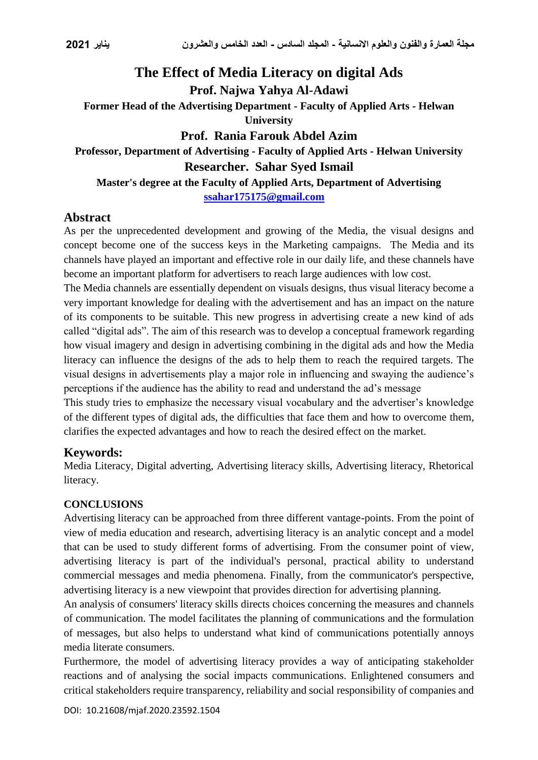# **The Effect of Media Literacy on digital Ads Prof. Najwa Yahya Al-Adawi Former Head of the Advertising Department - Faculty of Applied Arts - Helwan University Prof. Rania Farouk Abdel Azim Professor, Department of Advertising - Faculty of Applied Arts - Helwan University Researcher. Sahar Syed Ismail Master's degree at the Faculty of Applied Arts, Department of Advertising**

**[ssahar175175@gmail.com](mailto:ssahar175175@gmail.com)**

# **Abstract**

As per the unprecedented development and growing of the Media, the visual designs and concept become one of the success keys in the Marketing campaigns. The Media and its channels have played an important and effective role in our daily life, and these channels have become an important platform for advertisers to reach large audiences with low cost.

The Media channels are essentially dependent on visuals designs, thus visual literacy become a very important knowledge for dealing with the advertisement and has an impact on the nature of its components to be suitable. This new progress in advertising create a new kind of ads called "digital ads". The aim of this research was to develop a conceptual framework regarding how visual imagery and design in advertising combining in the digital ads and how the Media literacy can influence the designs of the ads to help them to reach the required targets. The visual designs in advertisements play a major role in influencing and swaying the audience's perceptions if the audience has the ability to read and understand the ad's message

This study tries to emphasize the necessary visual vocabulary and the advertiser's knowledge of the different types of digital ads, the difficulties that face them and how to overcome them, clarifies the expected advantages and how to reach the desired effect on the market.

# **Keywords:**

Media Literacy, Digital adverting, Advertising literacy skills, Advertising literacy, Rhetorical literacy.

# **CONCLUSIONS**

Advertising literacy can be approached from three different vantage-points. From the point of view of media education and research, advertising literacy is an analytic concept and a model that can be used to study different forms of advertising. From the consumer point of view, advertising literacy is part of the individual's personal, practical ability to understand commercial messages and media phenomena. Finally, from the communicator's perspective, advertising literacy is a new viewpoint that provides direction for advertising planning.

An analysis of consumers' literacy skills directs choices concerning the measures and channels of communication. The model facilitates the planning of communications and the formulation of messages, but also helps to understand what kind of communications potentially annoys media literate consumers.

Furthermore, the model of advertising literacy provides a way of anticipating stakeholder reactions and of analysing the social impacts communications. Enlightened consumers and critical stakeholders require transparency, reliability and social responsibility of companies and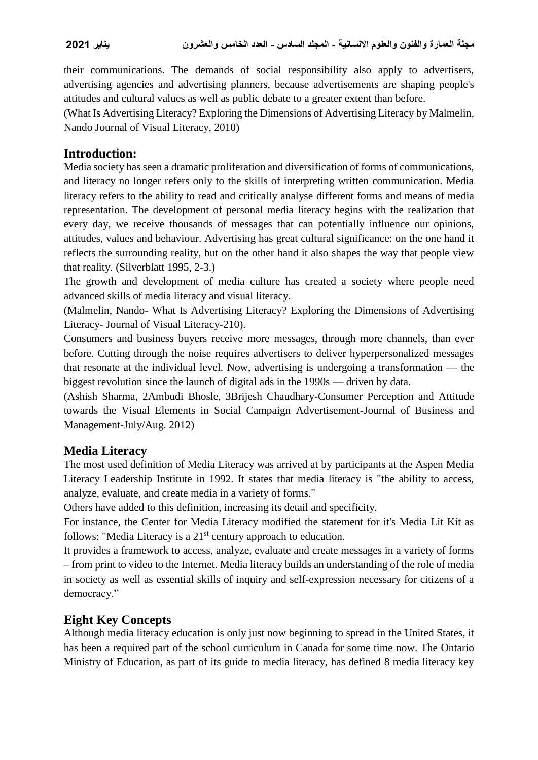their communications. The demands of social responsibility also apply to advertisers, advertising agencies and advertising planners, because advertisements are shaping people's attitudes and cultural values as well as public debate to a greater extent than before.

(What Is Advertising Literacy? Exploring the Dimensions of Advertising Literacy by Malmelin, Nando Journal of Visual Literacy, 2010)

# **Introduction:**

Media society has seen a dramatic proliferation and diversification of forms of communications, and literacy no longer refers only to the skills of interpreting written communication. Media literacy refers to the ability to read and critically analyse different forms and means of media representation. The development of personal media literacy begins with the realization that every day, we receive thousands of messages that can potentially influence our opinions, attitudes, values and behaviour. Advertising has great cultural significance: on the one hand it reflects the surrounding reality, but on the other hand it also shapes the way that people view that reality. (Silverblatt 1995, 2-3.)

The growth and development of media culture has created a society where people need advanced skills of media literacy and visual literacy.

(Malmelin, Nando- What Is Advertising Literacy? Exploring the Dimensions of Advertising Literacy- Journal of Visual Literacy-210).

Consumers and business buyers receive more messages, through more channels, than ever before. Cutting through the noise requires advertisers to deliver hyperpersonalized messages that resonate at the individual level. Now, advertising is undergoing a transformation — the biggest revolution since the launch of digital ads in the 1990s — driven by data.

(Ashish Sharma, 2Ambudi Bhosle, 3Brijesh Chaudhary-Consumer Perception and Attitude towards the Visual Elements in Social Campaign Advertisement-Journal of Business and Management-July/Aug. 2012)

# **Media Literacy**

The most used definition of Media Literacy was arrived at by participants at the Aspen Media Literacy Leadership Institute in 1992. It states that media literacy is "the ability to access, analyze, evaluate, and create media in a variety of forms."

Others have added to this definition, increasing its detail and specificity.

For instance, the Center for Media Literacy modified the statement for it's Media Lit Kit as follows: "Media Literacy is a 21<sup>st</sup> century approach to education.

It provides a framework to access, analyze, evaluate and create messages in a variety of forms – from print to video to the Internet. Media literacy builds an understanding of the role of media in society as well as essential skills of inquiry and self-expression necessary for citizens of a democracy."

# **Eight Key Concepts**

Although media literacy education is only just now beginning to spread in the United States, it has been a required part of the school curriculum in Canada for some time now. The Ontario Ministry of Education, as part of its guide to media literacy, has defined 8 media literacy key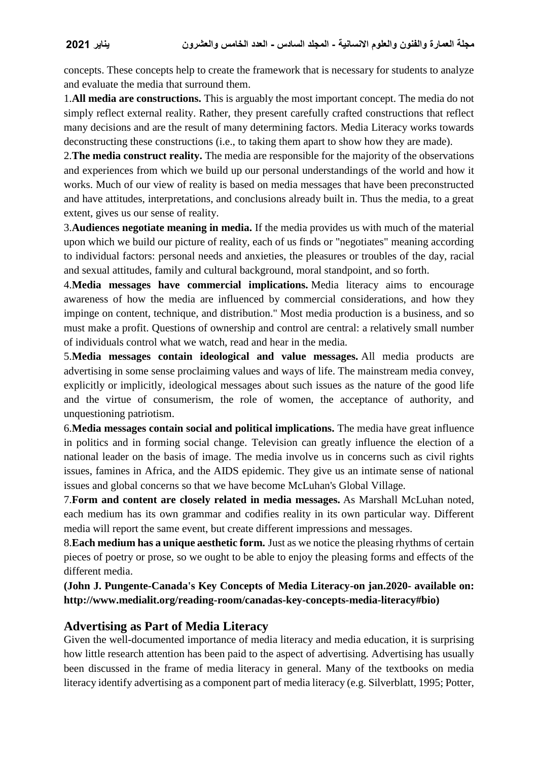concepts. These concepts help to create the framework that is necessary for students to analyze and evaluate the media that surround them.

1.**All media are constructions.** This is arguably the most important concept. The media do not simply reflect external reality. Rather, they present carefully crafted constructions that reflect many decisions and are the result of many determining factors. Media Literacy works towards deconstructing these constructions (i.e., to taking them apart to show how they are made).

2.**The media construct reality.** The media are responsible for the majority of the observations and experiences from which we build up our personal understandings of the world and how it works. Much of our view of reality is based on media messages that have been preconstructed and have attitudes, interpretations, and conclusions already built in. Thus the media, to a great extent, gives us our sense of reality.

3.**Audiences negotiate meaning in media.** If the media provides us with much of the material upon which we build our picture of reality, each of us finds or "negotiates" meaning according to individual factors: personal needs and anxieties, the pleasures or troubles of the day, racial and sexual attitudes, family and cultural background, moral standpoint, and so forth.

4.**Media messages have commercial implications.** Media literacy aims to encourage awareness of how the media are influenced by commercial considerations, and how they impinge on content, technique, and distribution." Most media production is a business, and so must make a profit. Questions of ownership and control are central: a relatively small number of individuals control what we watch, read and hear in the media.

5.**Media messages contain ideological and value messages.** All media products are advertising in some sense proclaiming values and ways of life. The mainstream media convey, explicitly or implicitly, ideological messages about such issues as the nature of the good life and the virtue of consumerism, the role of women, the acceptance of authority, and unquestioning patriotism.

6.**Media messages contain social and political implications.** The media have great influence in politics and in forming social change. Television can greatly influence the election of a national leader on the basis of image. The media involve us in concerns such as civil rights issues, famines in Africa, and the AIDS epidemic. They give us an intimate sense of national issues and global concerns so that we have become McLuhan's Global Village.

7.**Form and content are closely related in media messages.** As Marshall McLuhan noted, each medium has its own grammar and codifies reality in its own particular way. Different media will report the same event, but create different impressions and messages.

8.**Each medium has a unique aesthetic form.** Just as we notice the pleasing rhythms of certain pieces of poetry or prose, so we ought to be able to enjoy the pleasing forms and effects of the different media.

**(John J. Pungente-Canada's Key Concepts of Media Literacy-on jan.2020- available on: http://www.medialit.org/reading-room/canadas-key-concepts-media-literacy#bio)**

# **Advertising as Part of Media Literacy**

Given the well-documented importance of media literacy and media education, it is surprising how little research attention has been paid to the aspect of advertising. Advertising has usually been discussed in the frame of media literacy in general. Many of the textbooks on media literacy identify advertising as a component part of media literacy (e.g. Silverblatt, 1995; Potter,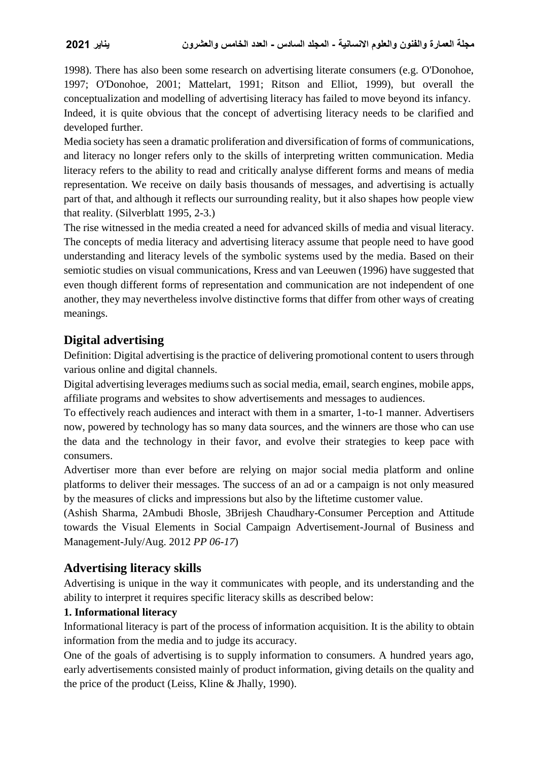1998). There has also been some research on advertising literate consumers (e.g. O'Donohoe, 1997; O'Donohoe, 2001; Mattelart, 1991; Ritson and Elliot, 1999), but overall the conceptualization and modelling of advertising literacy has failed to move beyond its infancy. Indeed, it is quite obvious that the concept of advertising literacy needs to be clarified and developed further.

Media society has seen a dramatic proliferation and diversification of forms of communications, and literacy no longer refers only to the skills of interpreting written communication. Media literacy refers to the ability to read and critically analyse different forms and means of media representation. We receive on daily basis thousands of messages, and advertising is actually part of that, and although it reflects our surrounding reality, but it also shapes how people view that reality. (Silverblatt 1995, 2-3.)

The rise witnessed in the media created a need for advanced skills of media and visual literacy. The concepts of media literacy and advertising literacy assume that people need to have good understanding and literacy levels of the symbolic systems used by the media. Based on their semiotic studies on visual communications, Kress and van Leeuwen (1996) have suggested that even though different forms of representation and communication are not independent of one another, they may nevertheless involve distinctive forms that differ from other ways of creating meanings.

# **Digital advertising**

Definition: Digital advertising is the practice of delivering promotional content to users through various online and digital channels.

Digital advertising leverages mediums such as social media, email, search engines, mobile apps, affiliate programs and websites to show advertisements and messages to audiences.

To effectively reach audiences and interact with them in a smarter, 1-to-1 manner. Advertisers now, powered by technology has so many data sources, and the winners are those who can use the data and the technology in their favor, and evolve their strategies to keep pace with consumers.

Advertiser more than ever before are relying on major social media platform and online platforms to deliver their messages. The success of an ad or a campaign is not only measured by the measures of clicks and impressions but also by the liftetime customer value.

(Ashish Sharma, 2Ambudi Bhosle, 3Brijesh Chaudhary-Consumer Perception and Attitude towards the Visual Elements in Social Campaign Advertisement-Journal of Business and Management-July/Aug. 2012 *PP 06-17*)

# **Advertising literacy skills**

Advertising is unique in the way it communicates with people, and its understanding and the ability to interpret it requires specific literacy skills as described below:

# **1. Informational literacy**

Informational literacy is part of the process of information acquisition. It is the ability to obtain information from the media and to judge its accuracy.

One of the goals of advertising is to supply information to consumers. A hundred years ago, early advertisements consisted mainly of product information, giving details on the quality and the price of the product (Leiss, Kline & Jhally, 1990).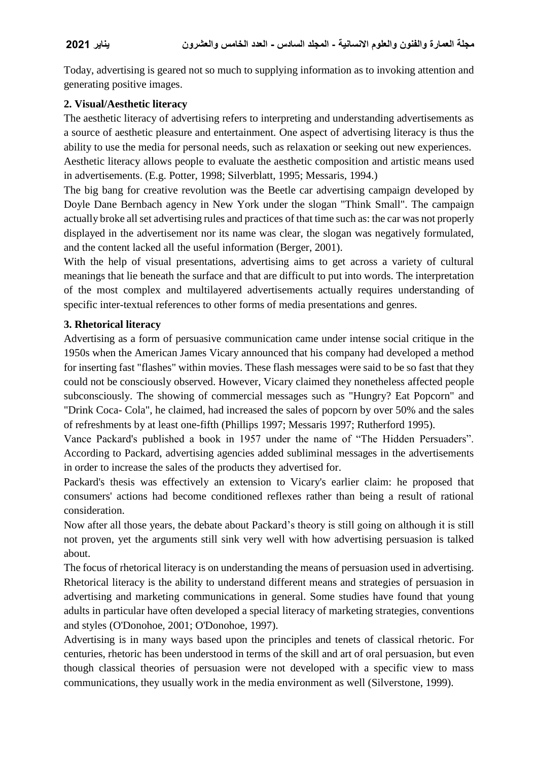Today, advertising is geared not so much to supplying information as to invoking attention and generating positive images.

### **2. Visual/Aesthetic literacy**

The aesthetic literacy of advertising refers to interpreting and understanding advertisements as a source of aesthetic pleasure and entertainment. One aspect of advertising literacy is thus the ability to use the media for personal needs, such as relaxation or seeking out new experiences. Aesthetic literacy allows people to evaluate the aesthetic composition and artistic means used in advertisements. (E.g. Potter, 1998; Silverblatt, 1995; Messaris, 1994.)

The big bang for creative revolution was the Beetle car advertising campaign developed by Doyle Dane Bernbach agency in New York under the slogan "Think Small". The campaign actually broke all set advertising rules and practices of that time such as: the car was not properly displayed in the advertisement nor its name was clear, the slogan was negatively formulated, and the content lacked all the useful information (Berger, 2001).

With the help of visual presentations, advertising aims to get across a variety of cultural meanings that lie beneath the surface and that are difficult to put into words. The interpretation of the most complex and multilayered advertisements actually requires understanding of specific inter-textual references to other forms of media presentations and genres.

### **3. Rhetorical literacy**

Advertising as a form of persuasive communication came under intense social critique in the 1950s when the American James Vicary announced that his company had developed a method for inserting fast "flashes" within movies. These flash messages were said to be so fast that they could not be consciously observed. However, Vicary claimed they nonetheless affected people subconsciously. The showing of commercial messages such as "Hungry? Eat Popcorn" and "Drink Coca- Cola", he claimed, had increased the sales of popcorn by over 50% and the sales of refreshments by at least one-fifth (Phillips 1997; Messaris 1997; Rutherford 1995).

Vance Packard's published a book in 1957 under the name of "The Hidden Persuaders". According to Packard, advertising agencies added subliminal messages in the advertisements in order to increase the sales of the products they advertised for.

Packard's thesis was effectively an extension to Vicary's earlier claim: he proposed that consumers' actions had become conditioned reflexes rather than being a result of rational consideration.

Now after all those years, the debate about Packard's theory is still going on although it is still not proven, yet the arguments still sink very well with how advertising persuasion is talked about.

The focus of rhetorical literacy is on understanding the means of persuasion used in advertising. Rhetorical literacy is the ability to understand different means and strategies of persuasion in advertising and marketing communications in general. Some studies have found that young adults in particular have often developed a special literacy of marketing strategies, conventions and styles (O'Donohoe, 2001; O'Donohoe, 1997).

Advertising is in many ways based upon the principles and tenets of classical rhetoric. For centuries, rhetoric has been understood in terms of the skill and art of oral persuasion, but even though classical theories of persuasion were not developed with a specific view to mass communications, they usually work in the media environment as well (Silverstone, 1999).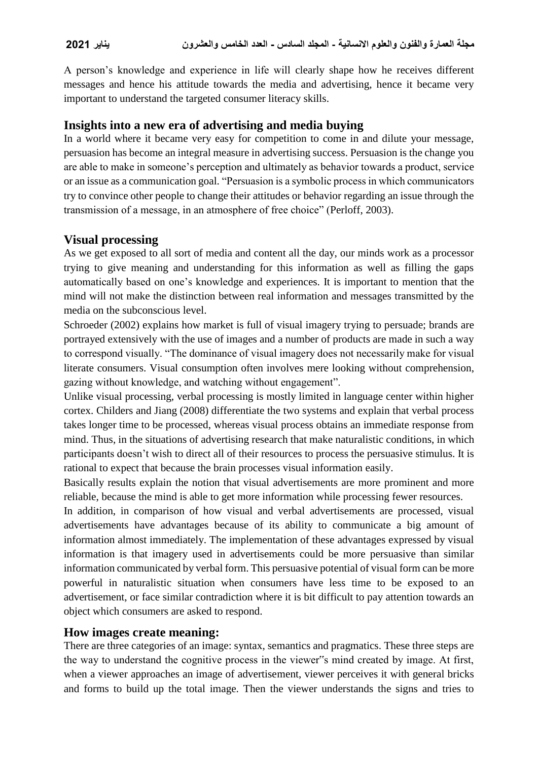A person's knowledge and experience in life will clearly shape how he receives different messages and hence his attitude towards the media and advertising, hence it became very important to understand the targeted consumer literacy skills.

### **Insights into a new era of advertising and media buying**

In a world where it became very easy for competition to come in and dilute your message, persuasion has become an integral measure in advertising success. Persuasion is the change you are able to make in someone's perception and ultimately as behavior towards a product, service or an issue as a communication goal. "Persuasion is a symbolic process in which communicators try to convince other people to change their attitudes or behavior regarding an issue through the transmission of a message, in an atmosphere of free choice" (Perloff, 2003).

### **Visual processing**

As we get exposed to all sort of media and content all the day, our minds work as a processor trying to give meaning and understanding for this information as well as filling the gaps automatically based on one's knowledge and experiences. It is important to mention that the mind will not make the distinction between real information and messages transmitted by the media on the subconscious level.

Schroeder (2002) explains how market is full of visual imagery trying to persuade; brands are portrayed extensively with the use of images and a number of products are made in such a way to correspond visually. "The dominance of visual imagery does not necessarily make for visual literate consumers. Visual consumption often involves mere looking without comprehension, gazing without knowledge, and watching without engagement".

Unlike visual processing, verbal processing is mostly limited in language center within higher cortex. Childers and Jiang (2008) differentiate the two systems and explain that verbal process takes longer time to be processed, whereas visual process obtains an immediate response from mind. Thus, in the situations of advertising research that make naturalistic conditions, in which participants doesn't wish to direct all of their resources to process the persuasive stimulus. It is rational to expect that because the brain processes visual information easily.

Basically results explain the notion that visual advertisements are more prominent and more reliable, because the mind is able to get more information while processing fewer resources.

In addition, in comparison of how visual and verbal advertisements are processed, visual advertisements have advantages because of its ability to communicate a big amount of information almost immediately. The implementation of these advantages expressed by visual information is that imagery used in advertisements could be more persuasive than similar information communicated by verbal form. This persuasive potential of visual form can be more powerful in naturalistic situation when consumers have less time to be exposed to an advertisement, or face similar contradiction where it is bit difficult to pay attention towards an object which consumers are asked to respond.

### **How images create meaning:**

There are three categories of an image: syntax, semantics and pragmatics. These three steps are the way to understand the cognitive process in the viewer"s mind created by image. At first, when a viewer approaches an image of advertisement, viewer perceives it with general bricks and forms to build up the total image. Then the viewer understands the signs and tries to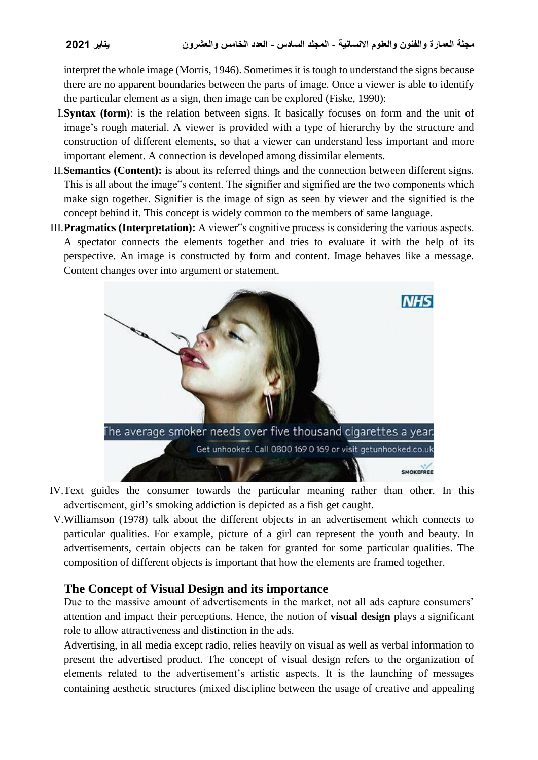interpret the whole image (Morris, 1946). Sometimes it is tough to understand the signs because there are no apparent boundaries between the parts of image. Once a viewer is able to identify the particular element as a sign, then image can be explored (Fiske, 1990):

- I.**Syntax (form)**: is the relation between signs. It basically focuses on form and the unit of image's rough material. A viewer is provided with a type of hierarchy by the structure and construction of different elements, so that a viewer can understand less important and more important element. A connection is developed among dissimilar elements.
- II.**Semantics (Content):** is about its referred things and the connection between different signs. This is all about the image"s content. The signifier and signified are the two components which make sign together. Signifier is the image of sign as seen by viewer and the signified is the concept behind it. This concept is widely common to the members of same language.
- III.**Pragmatics (Interpretation):** A viewer"s cognitive process is considering the various aspects. A spectator connects the elements together and tries to evaluate it with the help of its perspective. An image is constructed by form and content. Image behaves like a message. Content changes over into argument or statement.



- IV.Text guides the consumer towards the particular meaning rather than other. In this advertisement, girl's smoking addiction is depicted as a fish get caught.
- V.Williamson (1978) talk about the different objects in an advertisement which connects to particular qualities. For example, picture of a girl can represent the youth and beauty. In advertisements, certain objects can be taken for granted for some particular qualities. The composition of different objects is important that how the elements are framed together.

# **The Concept of Visual Design and its importance**

Due to the massive amount of advertisements in the market, not all ads capture consumers' attention and impact their perceptions. Hence, the notion of **visual design** plays a significant role to allow attractiveness and distinction in the ads.

Advertising, in all media except radio, relies heavily on visual as well as verbal information to present the advertised product. The concept of visual design refers to the organization of elements related to the advertisement's artistic aspects. It is the launching of messages containing aesthetic structures (mixed discipline between the usage of creative and appealing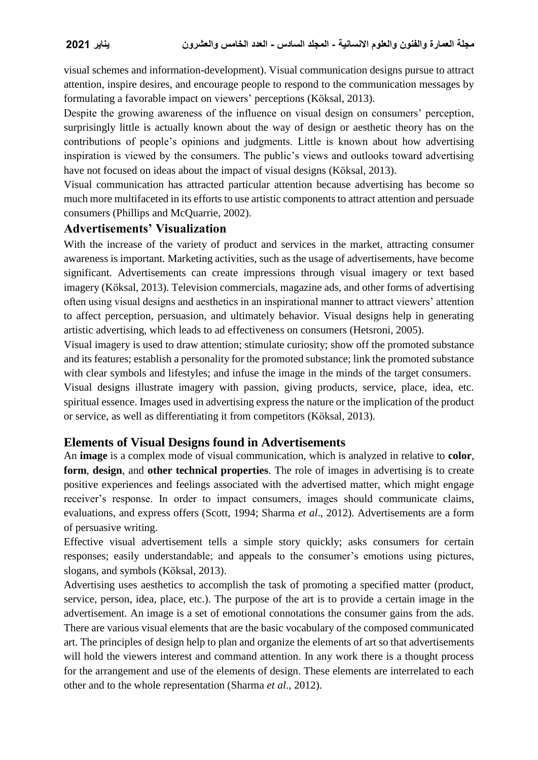visual schemes and information-development). Visual communication designs pursue to attract attention, inspire desires, and encourage people to respond to the communication messages by formulating a favorable impact on viewers' perceptions (Köksal, 2013).

Despite the growing awareness of the influence on visual design on consumers' perception, surprisingly little is actually known about the way of design or aesthetic theory has on the contributions of people's opinions and judgments. Little is known about how advertising inspiration is viewed by the consumers. The public's views and outlooks toward advertising have not focused on ideas about the impact of visual designs (Köksal, 2013).

Visual communication has attracted particular attention because advertising has become so much more multifaceted in its efforts to use artistic components to attract attention and persuade consumers (Phillips and McQuarrie, 2002).

### **Advertisements' Visualization**

With the increase of the variety of product and services in the market, attracting consumer awareness is important. Marketing activities, such as the usage of advertisements, have become significant. Advertisements can create impressions through visual imagery or text based imagery (Köksal, 2013). Television commercials, magazine ads, and other forms of advertising often using visual designs and aesthetics in an inspirational manner to attract viewers' attention to affect perception, persuasion, and ultimately behavior. Visual designs help in generating artistic advertising, which leads to ad effectiveness on consumers (Hetsroni, 2005).

Visual imagery is used to draw attention; stimulate curiosity; show off the promoted substance and its features; establish a personality for the promoted substance; link the promoted substance with clear symbols and lifestyles; and infuse the image in the minds of the target consumers.

Visual designs illustrate imagery with passion, giving products, service, place, idea, etc. spiritual essence. Images used in advertising express the nature or the implication of the product or service, as well as differentiating it from competitors (Köksal, 2013).

# **Elements of Visual Designs found in Advertisements**

An **image** is a complex mode of visual communication, which is analyzed in relative to **color**, **form**, **design**, and **other technical properties**. The role of images in advertising is to create positive experiences and feelings associated with the advertised matter, which might engage receiver's response. In order to impact consumers, images should communicate claims, evaluations, and express offers (Scott, 1994; Sharma *et al*., 2012). Advertisements are a form of persuasive writing.

Effective visual advertisement tells a simple story quickly; asks consumers for certain responses; easily understandable; and appeals to the consumer's emotions using pictures, slogans, and symbols (Köksal, 2013).

Advertising uses aesthetics to accomplish the task of promoting a specified matter (product, service, person, idea, place, etc.). The purpose of the art is to provide a certain image in the advertisement. An image is a set of emotional connotations the consumer gains from the ads. There are various visual elements that are the basic vocabulary of the composed communicated art. The principles of design help to plan and organize the elements of art so that advertisements will hold the viewers interest and command attention. In any work there is a thought process for the arrangement and use of the elements of design. These elements are interrelated to each other and to the whole representation (Sharma *et al*., 2012).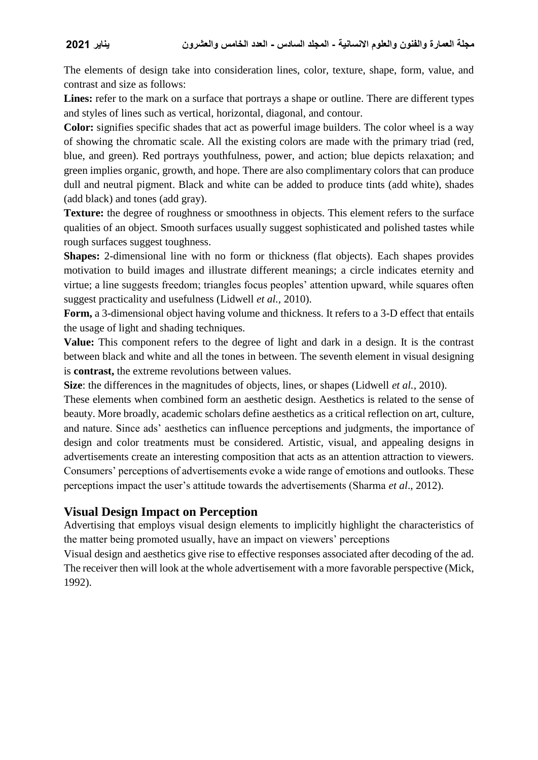The elements of design take into consideration lines, color, texture, shape, form, value, and contrast and size as follows:

Lines: refer to the mark on a surface that portrays a shape or outline. There are different types and styles of lines such as vertical, horizontal, diagonal, and contour.

**Color:** signifies specific shades that act as powerful image builders. The color wheel is a way of showing the chromatic scale. All the existing colors are made with the primary triad (red, blue, and green). Red portrays youthfulness, power, and action; blue depicts relaxation; and green implies organic, growth, and hope. There are also complimentary colors that can produce dull and neutral pigment. Black and white can be added to produce tints (add white), shades (add black) and tones (add gray).

Texture: the degree of roughness or smoothness in objects. This element refers to the surface qualities of an object. Smooth surfaces usually suggest sophisticated and polished tastes while rough surfaces suggest toughness.

**Shapes:** 2-dimensional line with no form or thickness (flat objects). Each shapes provides motivation to build images and illustrate different meanings; a circle indicates eternity and virtue; a line suggests freedom; triangles focus peoples' attention upward, while squares often suggest practicality and usefulness (Lidwell *et al.,* 2010).

**Form,** a 3-dimensional object having volume and thickness. It refers to a 3-D effect that entails the usage of light and shading techniques.

**Value:** This component refers to the degree of light and dark in a design. It is the contrast between black and white and all the tones in between. The seventh element in visual designing is **contrast,** the extreme revolutions between values.

**Size**: the differences in the magnitudes of objects, lines, or shapes (Lidwell *et al.,* 2010).

These elements when combined form an aesthetic design. Aesthetics is related to the sense of beauty. More broadly, academic scholars define aesthetics as a critical reflection on art, culture, and nature. Since ads' aesthetics can influence perceptions and judgments, the importance of design and color treatments must be considered. Artistic, visual, and appealing designs in advertisements create an interesting composition that acts as an attention attraction to viewers. Consumers' perceptions of advertisements evoke a wide range of emotions and outlooks. These perceptions impact the user's attitude towards the advertisements (Sharma *et al*., 2012).

# **Visual Design Impact on Perception**

Advertising that employs visual design elements to implicitly highlight the characteristics of the matter being promoted usually, have an impact on viewers' perceptions

Visual design and aesthetics give rise to effective responses associated after decoding of the ad. The receiver then will look at the whole advertisement with a more favorable perspective (Mick, 1992).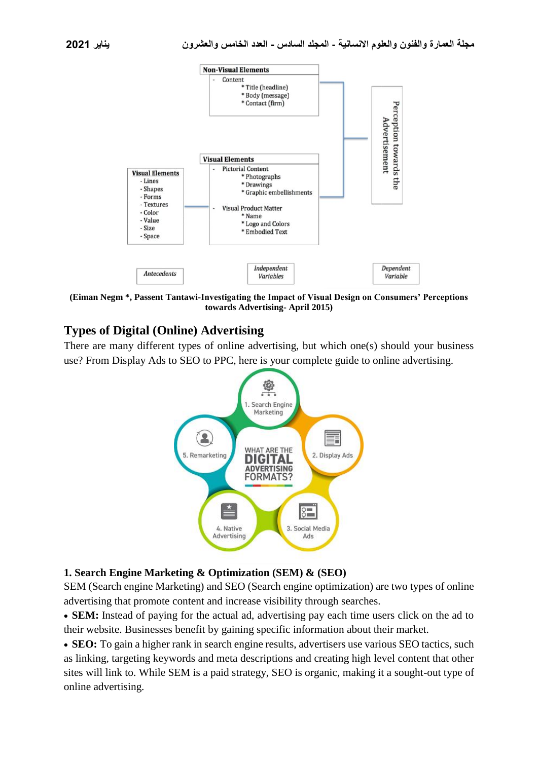

**(Eiman Negm \*, Passent Tantawi-Investigating the Impact of Visual Design on Consumers' Perceptions towards Advertising- April 2015)**

# **Types of Digital (Online) Advertising**

There are many different types of online advertising, but which one(s) should your business use? From Display Ads to SEO to PPC, here is your complete guide to online advertising.



### **1. Search Engine Marketing & Optimization (SEM) & (SEO)**

SEM (Search engine Marketing) and SEO (Search engine optimization) are two types of online advertising that promote content and increase visibility through searches.

 **SEM:** Instead of paying for the actual ad, advertising pay each time users click on the ad to their website. Businesses benefit by gaining specific information about their market.

 **SEO:** To gain a higher rank in search engine results, advertisers use various SEO tactics, such as linking, targeting keywords and meta descriptions and creating high level content that other sites will link to. While SEM is a paid strategy, SEO is organic, making it a sought-out type of online advertising.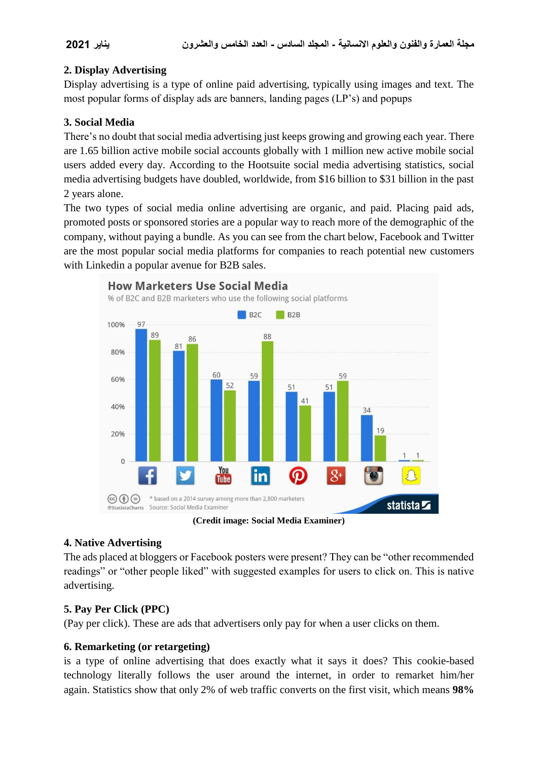# **2. Display Advertising**

Display advertising is a type of online paid advertising, typically using images and text. The most popular forms of display ads are banners, landing pages (LP's) and popups

### **3. Social Media**

There's no doubt that social media advertising just keeps growing and growing each year. There are [1.65 billion active mobile social accounts globally](https://www.dreamgrow.com/21-social-media-marketing-statistics/) with 1 million new active mobile social users added every day. According to the Hootsuite social media advertising statistics, social media advertising budgets have doubled, worldwide, from \$16 billion to \$31 billion in the past 2 years alone.

The two types of social media online advertising are organic, and paid. Placing paid ads, promoted posts or sponsored stories are a popular way to reach more of the demographic of the company, without paying a bundle. As you can see from the chart below, Facebook and Twitter are the most popular social media platforms for companies to reach potential new customers with Linkedin a popular avenue for B2B sales.



**(Credit image: [Social Media Examiner\)](http://www.socialmediaexaminer.com/)**

# **4. Native Advertising**

The ads placed at bloggers or Facebook posters were present? They can be "other recommended readings" or "other people liked" with suggested examples for users to click on. This is native advertising.

# **5. Pay Per Click (PPC)**

(Pay per click). These are ads that advertisers only pay for when a user clicks on them.

### **6. Remarketing (or retargeting)**

is a type of online advertising that does exactly what it says it does? This cookie-based technology literally follows the user around the internet, in order to remarket him/her again. [Statistics show](https://retargeter.com/what-is-retargeting-and-how-does-it-work) that only 2% of web traffic converts on the first visit, which means **98%**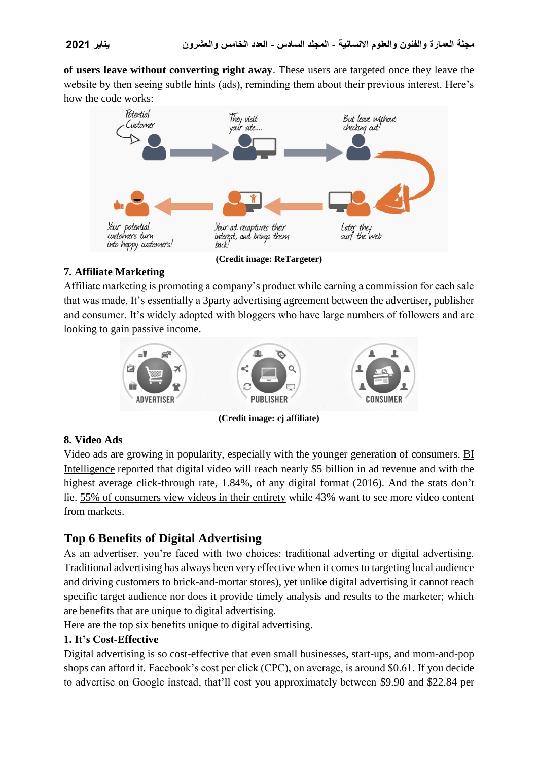**of users leave without converting right away**. These users are targeted once they leave the website by then seeing subtle hints (ads), reminding them about their previous interest. Here's how the code works:



# **7. Affiliate Marketing**

Affiliate marketing is promoting a company's product while earning a commission for each sale that was made. It's essentially a 3party advertising agreement between the advertiser, publisher and consumer. It's widely adopted with bloggers who have large numbers of followers and are looking to gain passive income.



**(Credit image: [cj affiliate\)](http://www.cj.com/what-is-affiliate-marketing)**

# **8. Video Ads**

Video ads are growing in popularity, especially with the younger generation of consumers. [BI](http://www.businessinsider.com/digital-video-advertising-aggressive-spending-and-growth-2014-9)  [Intelligence](http://www.businessinsider.com/digital-video-advertising-aggressive-spending-and-growth-2014-9) reported that digital video will reach nearly \$5 billion in ad revenue and with the highest average click-through rate, 1.84%, of any digital format (2016). And the stats don't lie. [55% of consumers view videos in their entirety](https://www.hubspot.com/marketing-statistics) while 43% want to see more video content from markets.

# **Top 6 Benefits of Digital Advertising**

As an advertiser, you're faced with two choices: traditional adverting or digital advertising. Traditional advertising has always been very effective when it comes to targeting local audience and driving customers to brick-and-mortar stores), yet unlike digital advertising it cannot reach specific target audience nor does it provide timely analysis and results to the marketer; which are benefits that are unique to digital advertising.

Here are the top six benefits unique to digital advertising.

# **1. It's Cost-Effective**

Digital advertising is so cost-effective that even small businesses, start-ups, and mom-and-pop shops can afford it. [Facebook's cost per click \(CPC\), on average, is around \\$0.61.](https://moz.com/blog/my-story-how-facebook-advertising-performed-vs-google-adwords) If you decide to advertise on Google instead, that'll cost you approximately between \$9.90 and \$22.84 per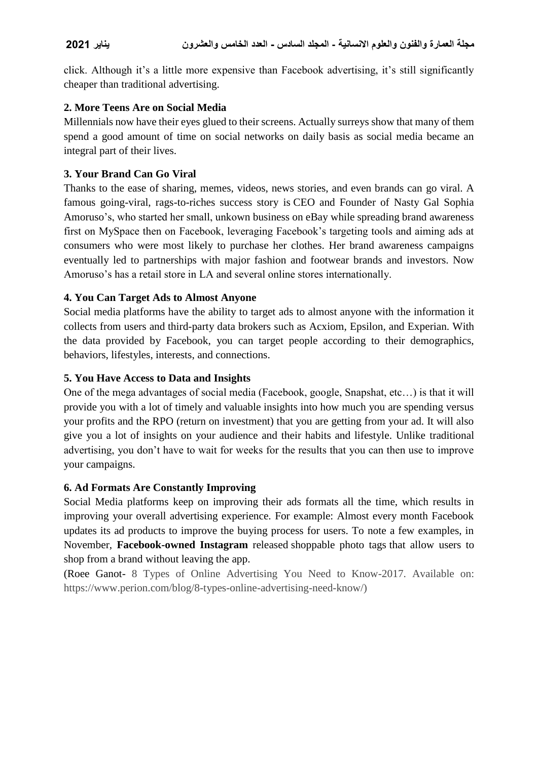click. Although it's a little more expensive than Facebook advertising, it's still significantly cheaper than traditional advertising.

### **2. More Teens Are on Social Media**

Millennials now have their eyes glued to their screens. Actually surreys show that many of them spend a good amount of time on social networks on daily basis as social media became an integral part of their lives.

### **3. Your Brand Can Go Viral**

Thanks to the ease of sharing, memes, videos, news stories, and even brands can go viral. A famous going-viral, rags-to-riches success story is [CEO and Founder of Nasty Gal Sophia](http://www.telegraph.co.uk/tv/0/real-girlboss-rise-fall-nasty-gal-founder-sophia-amoruso/)  [Amoruso'](http://www.telegraph.co.uk/tv/0/real-girlboss-rise-fall-nasty-gal-founder-sophia-amoruso/)s, who started her small, unkown business on eBay while spreading brand awareness first on MySpace then on Facebook, leveraging Facebook's targeting tools and aiming ads at consumers who were most likely to purchase her clothes. Her brand awareness campaigns eventually led to partnerships with major fashion and footwear brands and investors. Now Amoruso's has a retail store in LA and several online stores internationally.

### **4. You Can Target Ads to Almost Anyone**

Social media platforms have the ability to target ads to almost anyone with the information it collects from users and [third-party data brokers](https://www.advertisemint.com/facebook-puchases-offline-data-for-better-ad-targeting/) such as Acxiom, Epsilon, and Experian. With the data provided by Facebook, you can target people according to their demographics, behaviors, lifestyles, interests, and connections.

### **5. You Have Access to Data and Insights**

One of the mega advantages of social media (Facebook, google, Snapshat, etc…) is that it will provide you with a lot of timely and valuable insights into how much you are spending versus your profits and the RPO (return on investment) that you are getting from your ad. It will also give you a lot of insights on your audience and their habits and lifestyle. Unlike traditional advertising, you don't have to wait for weeks for the results that you can then use to improve your campaigns.

### **6. Ad Formats Are Constantly Improving**

Social Media platforms keep on improving their ads formats all the time, which results in improving your overall advertising experience. For example: Almost every month Facebook updates its ad products to improve the buying process for users. To note a few examples, in November, **Facebook-owned Instagram** released [shoppable photo tags](https://www.advertisemint.com/shop-in-the-app-with-instagrams-shoppable-photo-tags/) that allow users to shop from a brand without leaving the app.

[\(Roee Ganot-](https://www.perion.com/blog/author/roee-ganot/) 8 Types of Online Advertising You Need to Know-2017. Available on: https://www.perion.com/blog/8-types-online-advertising-need-know/)